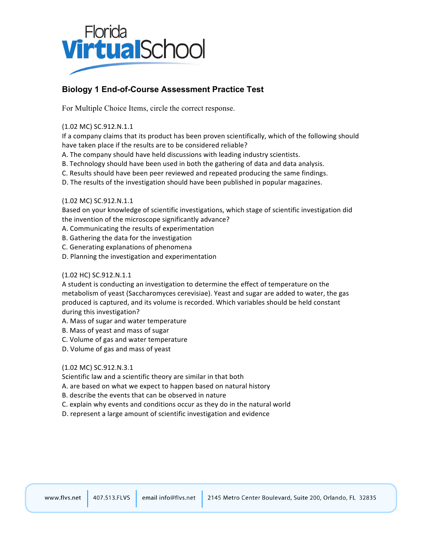

# **Biology 1 End-of-Course Assessment Practice Test**

For Multiple Choice Items, circle the correct response.

## (1.02&MC) SC.912.N.1.1

If a company claims that its product has been proven scientifically, which of the following should have taken place if the results are to be considered reliable?

- A. The company should have held discussions with leading industry scientists.
- B. Technology should have been used in both the gathering of data and data analysis.
- C. Results should have been peer reviewed and repeated producing the same findings.
- D. The results of the investigation should have been published in popular magazines.

## (1.02 MC) SC.912.N.1.1

Based on your knowledge of scientific investigations, which stage of scientific investigation did the invention of the microscope significantly advance?

- A. Communicating the results of experimentation
- B. Gathering the data for the investigation
- C. Generating explanations of phenomena
- D. Planning the investigation and experimentation

## (1.02 HC) SC.912.N.1.1

A student is conducting an investigation to determine the effect of temperature on the metabolism of yeast (Saccharomyces cerevisiae). Yeast and sugar are added to water, the gas produced is captured, and its volume is recorded. Which variables should be held constant during this investigation?

- A. Mass of sugar and water temperature
- B. Mass of yeast and mass of sugar
- C. Volume of gas and water temperature
- D. Volume of gas and mass of yeast

## (1.02 MC) SC.912.N.3.1

Scientific law and a scientific theory are similar in that both

- A. are based on what we expect to happen based on natural history
- B. describe the events that can be observed in nature
- C. explain why events and conditions occur as they do in the natural world
- D. represent a large amount of scientific investigation and evidence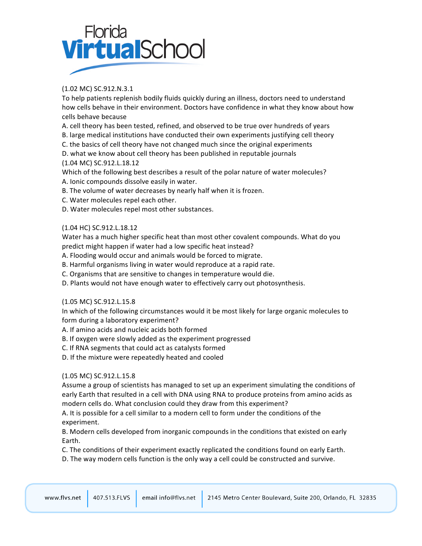# Florida<br>**Virtual**School

# (1.02&MC) SC.912.N.3.1

To help patients replenish bodily fluids quickly during an illness, doctors need to understand how cells behave in their environment. Doctors have confidence in what they know about how cells behave because

A. cell theory has been tested, refined, and observed to be true over hundreds of years

B. large medical institutions have conducted their own experiments justifying cell theory

C. the basics of cell theory have not changed much since the original experiments

D. what we know about cell theory has been published in reputable journals

# (1.04 MC) SC.912.L.18.12

Which of the following best describes a result of the polar nature of water molecules?

- A. Ionic compounds dissolve easily in water.
- B. The volume of water decreases by nearly half when it is frozen.
- C. Water molecules repel each other.
- D. Water molecules repel most other substances.

# (1.04 HC) SC.912.L.18.12

Water has a much higher specific heat than most other covalent compounds. What do you predict might happen if water had a low specific heat instead?

- A. Flooding would occur and animals would be forced to migrate.
- B. Harmful organisms living in water would reproduce at a rapid rate.
- C. Organisms that are sensitive to changes in temperature would die.
- D. Plants would not have enough water to effectively carry out photosynthesis.

# (1.05 MC) SC.912.L.15.8

In which of the following circumstances would it be most likely for large organic molecules to form during a laboratory experiment?

- A. If amino acids and nucleic acids both formed
- B. If oxygen were slowly added as the experiment progressed
- C. If RNA segments that could act as catalysts formed
- D. If the mixture were repeatedly heated and cooled

# (1.05 MC) SC.912.L.15.8

Assume a group of scientists has managed to set up an experiment simulating the conditions of early Earth that resulted in a cell with DNA using RNA to produce proteins from amino acids as modern cells do. What conclusion could they draw from this experiment?

A. It is possible for a cell similar to a modern cell to form under the conditions of the experiment.

B. Modern cells developed from inorganic compounds in the conditions that existed on early Earth.

C. The conditions of their experiment exactly replicated the conditions found on early Earth.

D. The way modern cells function is the only way a cell could be constructed and survive.

|  | www.flys.net 407.513.FLVS |  | email info@flvs.net 2145 Metro Center Boulevard, Suite 200, Orlando, FL 32835 |
|--|---------------------------|--|-------------------------------------------------------------------------------|
|--|---------------------------|--|-------------------------------------------------------------------------------|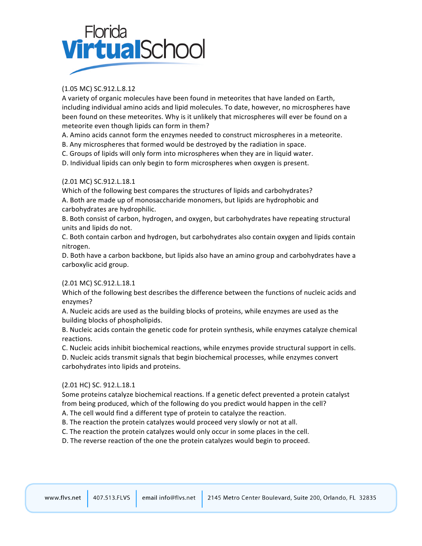# Florida<br>**Virtual**Schoc

# (1.05 MC) SC.912.L.8.12

A variety of organic molecules have been found in meteorites that have landed on Earth, including individual amino acids and lipid molecules. To date, however, no microspheres have been found on these meteorites. Why is it unlikely that microspheres will ever be found on a meteorite even though lipids can form in them?

A. Amino acids cannot form the enzymes needed to construct microspheres in a meteorite.

B. Any microspheres that formed would be destroyed by the radiation in space.

C. Groups of lipids will only form into microspheres when they are in liquid water.

D. Individual lipids can only begin to form microspheres when oxygen is present.

# (2.01&MC) SC.912.L.18.1

Which of the following best compares the structures of lipids and carbohydrates? A. Both are made up of monosaccharide monomers, but lipids are hydrophobic and carbohydrates are hydrophilic.

B. Both consist of carbon, hydrogen, and oxygen, but carbohydrates have repeating structural units and lipids do not.

C. Both contain carbon and hydrogen, but carbohydrates also contain oxygen and lipids contain nitrogen.

D. Both have a carbon backbone, but lipids also have an amino group and carbohydrates have a carboxylic acid group.

## (2.01&MC) SC.912.L.18.1

Which of the following best describes the difference between the functions of nucleic acids and enzymes?

A. Nucleic acids are used as the building blocks of proteins, while enzymes are used as the building blocks of phospholipids.

B. Nucleic acids contain the genetic code for protein synthesis, while enzymes catalyze chemical reactions.

C. Nucleic acids inhibit biochemical reactions, while enzymes provide structural support in cells.

D. Nucleic acids transmit signals that begin biochemical processes, while enzymes convert carbohydrates into lipids and proteins.

## (2.01&HC) SC. 912.L.18.1

Some proteins catalyze biochemical reactions. If a genetic defect prevented a protein catalyst from being produced, which of the following do you predict would happen in the cell?

A. The cell would find a different type of protein to catalyze the reaction.

B. The reaction the protein catalyzes would proceed very slowly or not at all.

C. The reaction the protein catalyzes would only occur in some places in the cell.

D. The reverse reaction of the one the protein catalyzes would begin to proceed.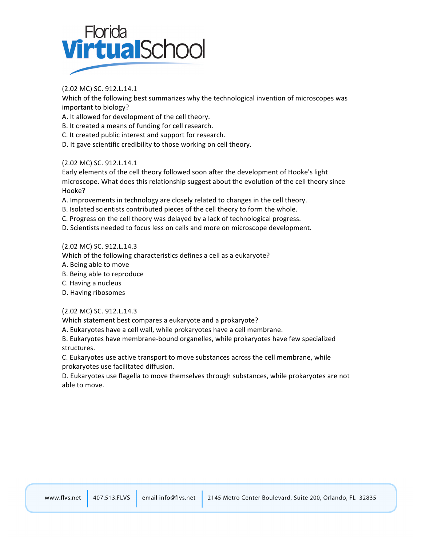

(2.02&MC) SC. 912.L.14.1

Which of the following best summarizes why the technological invention of microscopes was important to biology?

A. It allowed for development of the cell theory.

B. It created a means of funding for cell research.

C. It created public interest and support for research.

D. It gave scientific credibility to those working on cell theory.

## (2.02&MC) SC. 912.L.14.1

Early elements of the cell theory followed soon after the development of Hooke's light microscope. What does this relationship suggest about the evolution of the cell theory since Hooke?

A. Improvements in technology are closely related to changes in the cell theory.

B. Isolated scientists contributed pieces of the cell theory to form the whole.

C. Progress on the cell theory was delayed by a lack of technological progress.

D. Scientists needed to focus less on cells and more on microscope development.

## (2.02&MC) SC. 912.L.14.3

Which of the following characteristics defines a cell as a eukaryote?

A. Being able to move

B. Being able to reproduce

- C. Having a nucleus
- D. Having ribosomes

## (2.02&MC) SC. 912.L.14.3

and the first

Which statement best compares a eukaryote and a prokaryote?

A. Eukaryotes have a cell wall, while prokaryotes have a cell membrane.

B. Eukaryotes have membrane-bound organelles, while prokaryotes have few specialized structures.

C. Eukaryotes use active transport to move substances across the cell membrane, while prokaryotes use facilitated diffusion.

D. Eukaryotes use flagella to move themselves through substances, while prokaryotes are not able to move.

| www.flys.net |  |  | 407.513.FLVS email info@flvs.net 2145 Metro Center Boulevard, Suite 200, Orlando, FL 32835 |
|--------------|--|--|--------------------------------------------------------------------------------------------|
|--------------|--|--|--------------------------------------------------------------------------------------------|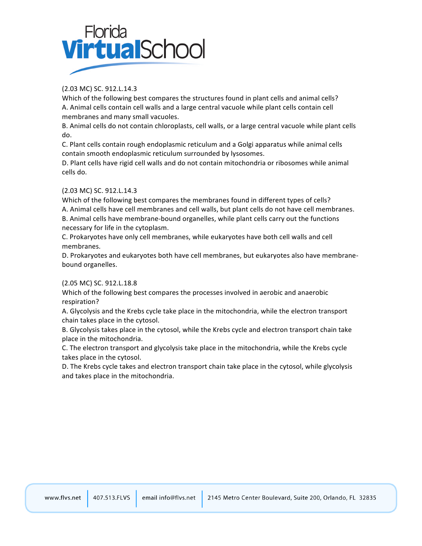

# (2.03&MC) SC. 912.L.14.3

Which of the following best compares the structures found in plant cells and animal cells? A. Animal cells contain cell walls and a large central vacuole while plant cells contain cell membranes and many small vacuoles.

B. Animal cells do not contain chloroplasts, cell walls, or a large central vacuole while plant cells do.

C. Plant cells contain rough endoplasmic reticulum and a Golgi apparatus while animal cells contain smooth endoplasmic reticulum surrounded by lysosomes.

D. Plant cells have rigid cell walls and do not contain mitochondria or ribosomes while animal cells do.

## (2.03&MC) SC. 912.L.14.3

Which of the following best compares the membranes found in different types of cells? A. Animal cells have cell membranes and cell walls, but plant cells do not have cell membranes. B. Animal cells have membrane-bound organelles, while plant cells carry out the functions necessary for life in the cytoplasm.

C. Prokaryotes have only cell membranes, while eukaryotes have both cell walls and cell membranes.

D. Prokaryotes and eukaryotes both have cell membranes, but eukaryotes also have membranebound organelles.

## (2.05&MC) SC. 912.L.18.8

Which of the following best compares the processes involved in aerobic and anaerobic respiration?

A. Glycolysis and the Krebs cycle take place in the mitochondria, while the electron transport chain takes place in the cytosol.

B. Glycolysis takes place in the cytosol, while the Krebs cycle and electron transport chain take place in the mitochondria.

C. The electron transport and glycolysis take place in the mitochondria, while the Krebs cycle takes place in the cytosol.

D. The Krebs cycle takes and electron transport chain take place in the cytosol, while glycolysis and takes place in the mitochondria.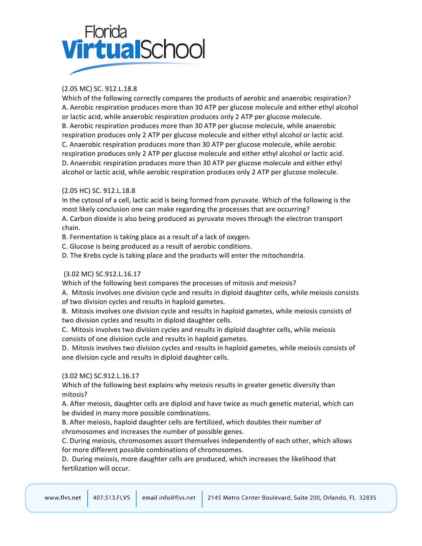# Florida<br>**Virtual**School

# (2.05&MC) SC. 912.L.18.8

Which of the following correctly compares the products of aerobic and anaerobic respiration? A. Aerobic respiration produces more than 30 ATP per glucose molecule and either ethyl alcohol or lactic acid, while anaerobic respiration produces only 2 ATP per glucose molecule. B. Aerobic respiration produces more than 30 ATP per glucose molecule, while anaerobic respiration produces only 2 ATP per glucose molecule and either ethyl alcohol or lactic acid. C. Anaerobic respiration produces more than 30 ATP per glucose molecule, while aerobic respiration produces only 2 ATP per glucose molecule and either ethyl alcohol or lactic acid. D. Anaerobic respiration produces more than 30 ATP per glucose molecule and either ethyl alcohol or lactic acid, while aerobic respiration produces only 2 ATP per glucose molecule.

# (2.05&HC) SC. 912.L.18.8

In the cytosol of a cell, lactic acid is being formed from pyruvate. Which of the following is the most likely conclusion one can make regarding the processes that are occurring? A. Carbon dioxide is also being produced as pyruvate moves through the electron transport chain.

B. Fermentation is taking place as a result of a lack of oxygen.

C. Glucose is being produced as a result of aerobic conditions.

D. The Krebs cycle is taking place and the products will enter the mitochondria.

# (3.02 MC) SC.912.L.16.17

Which of the following best compares the processes of mitosis and meiosis?

A. Mitosis involves one division cycle and results in diploid daughter cells, while meiosis consists of two division cycles and results in haploid gametes.

B. Mitosis involves one division cycle and results in haploid gametes, while meiosis consists of two division cycles and results in diploid daughter cells.

C. Mitosis involves two division cycles and results in diploid daughter cells, while meiosis consists of one division cycle and results in haploid gametes.

D. Mitosis involves two division cycles and results in haploid gametes, while meiosis consists of one division cycle and results in diploid daughter cells.

## (3.02 MC) SC.912.L.16.17

the contract of the contract of the contract of

Which of the following best explains why meiosis results in greater genetic diversity than mitosis?

A. After meiosis, daughter cells are diploid and have twice as much genetic material, which can be divided in many more possible combinations.

B. After meiosis, haploid daughter cells are fertilized, which doubles their number of chromosomes and increases the number of possible genes.

C. During meiosis, chromosomes assort themselves independently of each other, which allows for more different possible combinations of chromosomes.

D. During meiosis, more daughter cells are produced, which increases the likelihood that fertilization will occur.

|  |  |  | www.flvs.net 407.513.FLVS email info@flvs.net 2145 Metro Center Boulevard, Suite 200, Orlando, FL 32835 |
|--|--|--|---------------------------------------------------------------------------------------------------------|
|--|--|--|---------------------------------------------------------------------------------------------------------|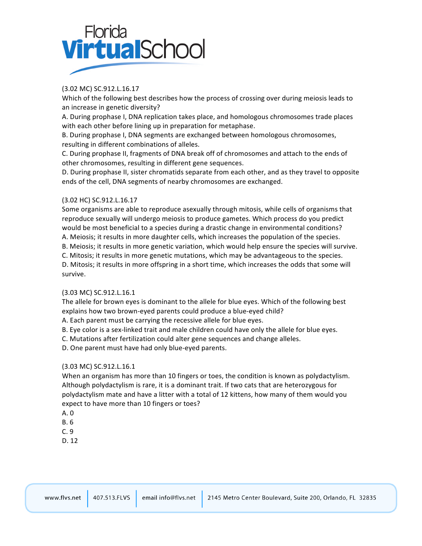

## (3.02 MC) SC.912.L.16.17

Which of the following best describes how the process of crossing over during meiosis leads to an increase in genetic diversity?

A. During prophase I, DNA replication takes place, and homologous chromosomes trade places with each other before lining up in preparation for metaphase.

B. During prophase I, DNA segments are exchanged between homologous chromosomes, resulting in different combinations of alleles.

C. During prophase II, fragments of DNA break off of chromosomes and attach to the ends of other chromosomes, resulting in different gene sequences.

D. During prophase II, sister chromatids separate from each other, and as they travel to opposite ends of the cell, DNA segments of nearby chromosomes are exchanged.

## (3.02 HC) SC.912.L.16.17

Some organisms are able to reproduce asexually through mitosis, while cells of organisms that reproduce sexually will undergo meiosis to produce gametes. Which process do you predict would be most beneficial to a species during a drastic change in environmental conditions?

A. Meiosis; it results in more daughter cells, which increases the population of the species.

B. Meiosis; it results in more genetic variation, which would help ensure the species will survive.

C. Mitosis; it results in more genetic mutations, which may be advantageous to the species.

D. Mitosis; it results in more offspring in a short time, which increases the odds that some will survive.

## (3.03 MC) SC.912.L.16.1

The allele for brown eyes is dominant to the allele for blue eyes. Which of the following best explains how two brown-eyed parents could produce a blue-eyed child?

A. Each parent must be carrying the recessive allele for blue eyes.

B. Eye color is a sex-linked trait and male children could have only the allele for blue eyes.

C. Mutations after fertilization could alter gene sequences and change alleles.

D. One parent must have had only blue-eyed parents.

## (3.03 MC) SC.912.L.16.1

the contract of the contract of

When an organism has more than 10 fingers or toes, the condition is known as polydactylism. Although polydactylism is rare, it is a dominant trait. If two cats that are heterozygous for polydactylism mate and have a litter with a total of 12 kittens, how many of them would you expect to have more than 10 fingers or toes?

- A. 0
- B.&6
- $C.9$
- D. 12

| www.flys.net |  |  | 407.513.FLVS email info@flvs.net 2145 Metro Center Boulevard, Suite 200, Orlando, FL 32835 |
|--------------|--|--|--------------------------------------------------------------------------------------------|
|--------------|--|--|--------------------------------------------------------------------------------------------|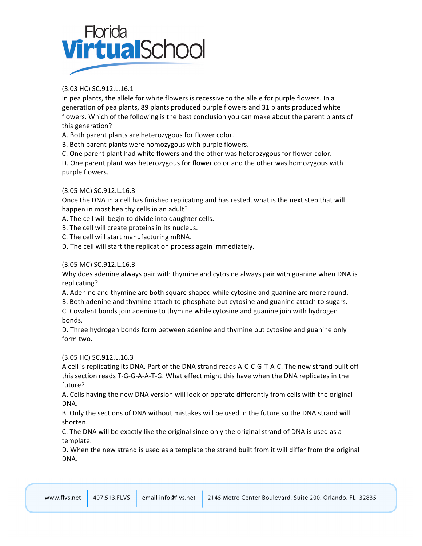# Florida<br>**Virtual**Schoc

# (3.03 HC) SC.912.L.16.1

In pea plants, the allele for white flowers is recessive to the allele for purple flowers. In a generation of pea plants, 89 plants produced purple flowers and 31 plants produced white flowers. Which of the following is the best conclusion you can make about the parent plants of this generation?

A. Both parent plants are heterozygous for flower color.

B. Both parent plants were homozygous with purple flowers.

C. One parent plant had white flowers and the other was heterozygous for flower color.

D. One parent plant was heterozygous for flower color and the other was homozygous with purple flowers.

# (3.05 MC) SC.912.L.16.3

Once the DNA in a cell has finished replicating and has rested, what is the next step that will happen in most healthy cells in an adult?

A. The cell will begin to divide into daughter cells.

B. The cell will create proteins in its nucleus.

C. The cell will start manufacturing mRNA.

D. The cell will start the replication process again immediately.

## (3.05 MC) SC.912.L.16.3

Why does adenine always pair with thymine and cytosine always pair with guanine when DNA is replicating?

A. Adenine and thymine are both square shaped while cytosine and guanine are more round.

B. Both adenine and thymine attach to phosphate but cytosine and guanine attach to sugars.

C. Covalent bonds join adenine to thymine while cytosine and guanine join with hydrogen bonds.

D. Three hydrogen bonds form between adenine and thymine but cytosine and guanine only form two.

## (3.05 HC) SC.912.L.16.3

A cell is replicating its DNA. Part of the DNA strand reads A-C-C-G-T-A-C. The new strand built off this section reads T-G-G-A-A-T-G. What effect might this have when the DNA replicates in the future?

A. Cells having the new DNA version will look or operate differently from cells with the original DNA.

B. Only the sections of DNA without mistakes will be used in the future so the DNA strand will shorten.

C. The DNA will be exactly like the original since only the original strand of DNA is used as a template.

D. When the new strand is used as a template the strand built from it will differ from the original DNA.

| www.flvs.net | 407.513. |
|--------------|----------|
|--------------|----------|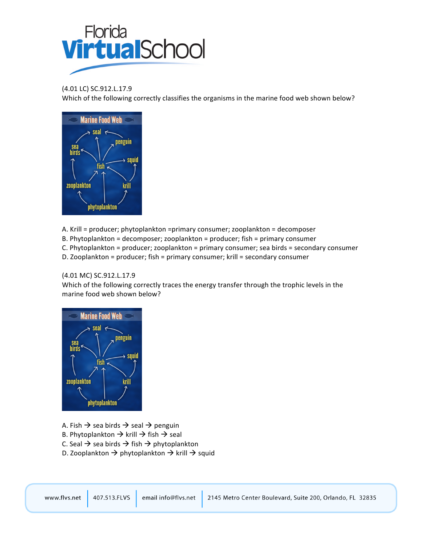

## (4.01 LC) SC.912.L.17.9

Which of the following correctly classifies the organisms in the marine food web shown below?



A. Krill = producer; phytoplankton =primary consumer; zooplankton = decomposer

- B. Phytoplankton = decomposer; zooplankton = producer; fish = primary consumer
- $C.$  Phytoplankton = producer; zooplankton = primary consumer; sea birds = secondary consumer
- D. Zooplankton = producer; fish = primary consumer; krill = secondary consumer

## (4.01 MC) SC.912.L.17.9

Which of the following correctly traces the energy transfer through the trophic levels in the marine food web shown below?



A. Fish  $\rightarrow$  sea birds  $\rightarrow$  seal  $\rightarrow$  penguin

- B. Phytoplankton  $\rightarrow$  krill  $\rightarrow$  fish  $\rightarrow$  seal
- C. Seal  $\rightarrow$  sea birds  $\rightarrow$  fish  $\rightarrow$  phytoplankton
- D. Zooplankton  $\rightarrow$  phytoplankton  $\rightarrow$  krill  $\rightarrow$  squid

| www.flvs.net | $407.513$ .FLVS | email info@flvs.net | 2145 Metro Center Boulevard, Suite 200, Orlando, FL 32835 |
|--------------|-----------------|---------------------|-----------------------------------------------------------|
|--------------|-----------------|---------------------|-----------------------------------------------------------|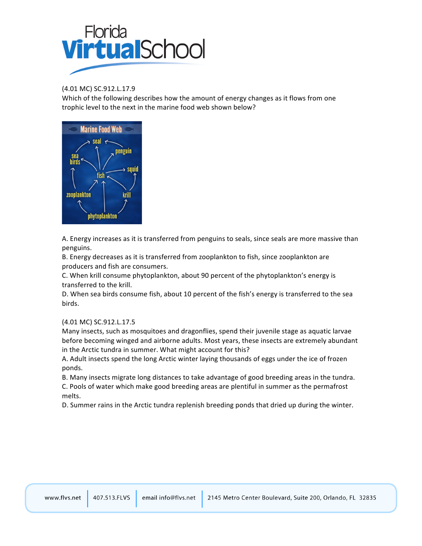

(4.01 MC) SC.912.L.17.9

Which of the following describes how the amount of energy changes as it flows from one trophic level to the next in the marine food web shown below?



A. Energy increases as it is transferred from penguins to seals, since seals are more massive than penguins.

B. Energy decreases as it is transferred from zooplankton to fish, since zooplankton are producers and fish are consumers.

C. When krill consume phytoplankton, about 90 percent of the phytoplankton's energy is transferred to the krill.

D. When sea birds consume fish, about 10 percent of the fish's energy is transferred to the sea birds.

## (4.01 MC) SC.912.L.17.5

Many insects, such as mosquitoes and dragonflies, spend their juvenile stage as aquatic larvae before becoming winged and airborne adults. Most years, these insects are extremely abundant in the Arctic tundra in summer. What might account for this?

A. Adult insects spend the long Arctic winter laying thousands of eggs under the ice of frozen ponds.

B. Many insects migrate long distances to take advantage of good breeding areas in the tundra. C. Pools of water which make good breeding areas are plentiful in summer as the permafrost melts.

D. Summer rains in the Arctic tundra replenish breeding ponds that dried up during the winter.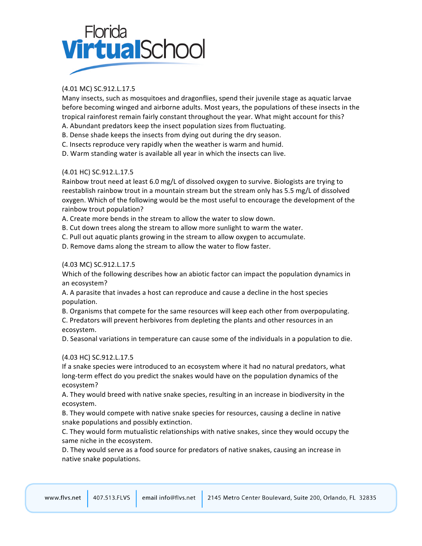# Florida<br>**Virtual**Schoc

# (4.01 MC) SC.912.L.17.5

Many insects, such as mosquitoes and dragonflies, spend their juvenile stage as aquatic larvae before becoming winged and airborne adults. Most years, the populations of these insects in the tropical rainforest remain fairly constant throughout the year. What might account for this?

- A. Abundant predators keep the insect population sizes from fluctuating.
- B. Dense shade keeps the insects from dying out during the dry season.
- C. Insects reproduce very rapidly when the weather is warm and humid.
- D. Warm standing water is available all year in which the insects can live.

## (4.01 HC) SC.912.L.17.5

Rainbow trout need at least 6.0 mg/L of dissolved oxygen to survive. Biologists are trying to reestablish rainbow trout in a mountain stream but the stream only has 5.5 mg/L of dissolved oxygen. Which of the following would be the most useful to encourage the development of the rainbow trout population?

A. Create more bends in the stream to allow the water to slow down.

B. Cut down trees along the stream to allow more sunlight to warm the water.

C. Pull out aquatic plants growing in the stream to allow oxygen to accumulate.

D. Remove dams along the stream to allow the water to flow faster.

## (4.03 MC) SC.912.L.17.5

Which of the following describes how an abiotic factor can impact the population dynamics in an ecosystem?

A. A parasite that invades a host can reproduce and cause a decline in the host species population.

B. Organisms that compete for the same resources will keep each other from overpopulating. C. Predators will prevent herbivores from depleting the plants and other resources in an ecosystem.

D. Seasonal variations in temperature can cause some of the individuals in a population to die.

## (4.03 HC) SC.912.L.17.5

If a snake species were introduced to an ecosystem where it had no natural predators, what long-term effect do you predict the snakes would have on the population dynamics of the ecosystem?

A. They would breed with native snake species, resulting in an increase in biodiversity in the ecosystem.

B. They would compete with native snake species for resources, causing a decline in native snake populations and possibly extinction.

C. They would form mutualistic relationships with native snakes, since they would occupy the same niche in the ecosystem.

D. They would serve as a food source for predators of native snakes, causing an increase in native snake populations.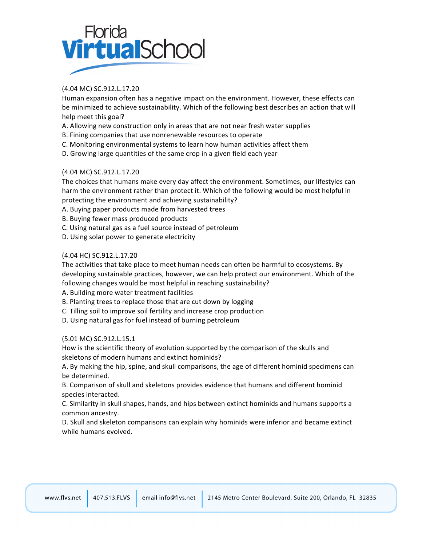

## (4.04 MC) SC.912.L.17.20

Human expansion often has a negative impact on the environment. However, these effects can be minimized to achieve sustainability. Which of the following best describes an action that will help meet this goal?

- A. Allowing new construction only in areas that are not near fresh water supplies
- B. Fining companies that use nonrenewable resources to operate
- C. Monitoring environmental systems to learn how human activities affect them
- D. Growing large quantities of the same crop in a given field each year

## (4.04 MC) SC.912.L.17.20

The choices that humans make every day affect the environment. Sometimes, our lifestyles can harm the environment rather than protect it. Which of the following would be most helpful in protecting the environment and achieving sustainability?

A. Buying paper products made from harvested trees

- B. Buying fewer mass produced products
- C. Using natural gas as a fuel source instead of petroleum
- D. Using solar power to generate electricity

## (4.04 HC) SC.912.L.17.20

The activities that take place to meet human needs can often be harmful to ecosystems. By developing sustainable practices, however, we can help protect our environment. Which of the following changes would be most helpful in reaching sustainability?

A. Building more water treatment facilities

B. Planting trees to replace those that are cut down by logging

- C. Tilling soil to improve soil fertility and increase crop production
- D. Using natural gas for fuel instead of burning petroleum

## (5.01 MC) SC.912.L.15.1

How is the scientific theory of evolution supported by the comparison of the skulls and skeletons of modern humans and extinct hominids?

A. By making the hip, spine, and skull comparisons, the age of different hominid specimens can be determined.

B. Comparison of skull and skeletons provides evidence that humans and different hominid species interacted.

C. Similarity in skull shapes, hands, and hips between extinct hominids and humans supports a common ancestry.

D. Skull and skeleton comparisons can explain why hominids were inferior and became extinct while humans evolved.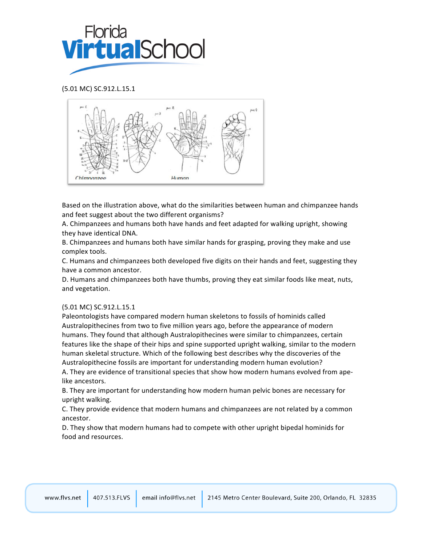

(5.01 MC) SC.912.L.15.1



Based on the illustration above, what do the similarities between human and chimpanzee hands and feet suggest about the two different organisms?

A. Chimpanzees and humans both have hands and feet adapted for walking upright, showing they have identical DNA.

B. Chimpanzees and humans both have similar hands for grasping, proving they make and use complex tools.

C. Humans and chimpanzees both developed five digits on their hands and feet, suggesting they have a common ancestor.

D. Humans and chimpanzees both have thumbs, proving they eat similar foods like meat, nuts, and vegetation.

## (5.01 MC) SC.912.L.15.1

Paleontologists have compared modern human skeletons to fossils of hominids called Australopithecines from two to five million years ago, before the appearance of modern humans. They found that although Australopithecines were similar to chimpanzees, certain features like the shape of their hips and spine supported upright walking, similar to the modern human skeletal structure. Which of the following best describes why the discoveries of the Australopithecine fossils are important for understanding modern human evolution?

A. They are evidence of transitional species that show how modern humans evolved from apelike ancestors.

B. They are important for understanding how modern human pelvic bones are necessary for upright walking.

C. They provide evidence that modern humans and chimpanzees are not related by a common ancestor.

D. They show that modern humans had to compete with other upright bipedal hominids for food and resources.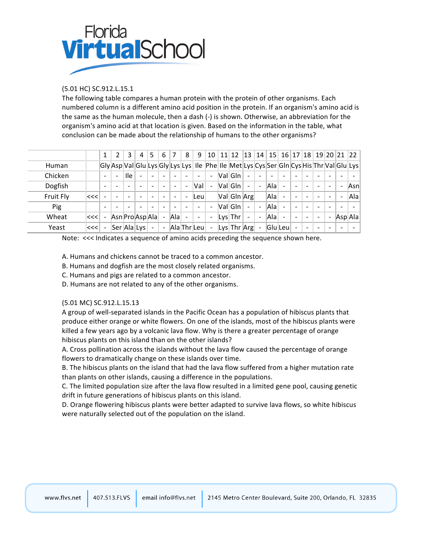

## (5.01 HC) SC.912.L.15.1

The following table compares a human protein with the protein of other organisms. Each numbered column is a different amino acid position in the protein. If an organism's amino acid is the same as the human molecule, then a dash (-) is shown. Otherwise, an abbreviation for the organism's amino acid at that location is given. Based on the information in the table, what conclusion can be made about the relationship of humans to the other organisms?

|           |      |                          |                          | 3          | 4                        | 5                        | 6                        |      | 8                        | 9                        | 10                       | 11 | 12                                                                                                  | 13                       | 14                       | 15  |                          | 16 17                    | 18                       |   | 19 20 21 22              |     |
|-----------|------|--------------------------|--------------------------|------------|--------------------------|--------------------------|--------------------------|------|--------------------------|--------------------------|--------------------------|----|-----------------------------------------------------------------------------------------------------|--------------------------|--------------------------|-----|--------------------------|--------------------------|--------------------------|---|--------------------------|-----|
| Human     |      |                          |                          |            |                          |                          |                          |      |                          |                          |                          |    | Gly Asp Val Glu Lys Gly Lys Lys   Ile   Phe   Ile   Met Lys Cys Ser Gln Cys His Thr Val Glu Lys     |                          |                          |     |                          |                          |                          |   |                          |     |
| Chicken   |      | $\overline{\phantom{0}}$ | ۰                        | <b>Ile</b> | $\overline{\phantom{0}}$ | ÷                        |                          | ۰    |                          | $\overline{\phantom{0}}$ | $\overline{\phantom{a}}$ |    | ValGIn                                                                                              | $\overline{\phantom{0}}$ | $\overline{\phantom{a}}$ |     | -                        |                          | $\overline{\phantom{a}}$ |   | $\overline{\phantom{0}}$ |     |
| Dogfish   |      | $\overline{\phantom{0}}$ |                          |            | $\overline{\phantom{0}}$ |                          |                          |      |                          | Val                      | $\overline{\phantom{a}}$ |    | ValGIn                                                                                              | $\overline{\phantom{0}}$ |                          | Ala | $\overline{\phantom{0}}$ |                          | $\overline{\phantom{0}}$ |   | $\overline{\phantom{0}}$ | Asn |
| Fruit Fly | ∣<<< | $\overline{\phantom{a}}$ |                          |            |                          |                          |                          | ۰    | ٠                        | lLeul                    |                          |    | Val Gln Arg                                                                                         |                          |                          | Ala | $\overline{\phantom{a}}$ |                          |                          |   |                          | Ala |
| Pig       |      | $\overline{\phantom{0}}$ | $\overline{\phantom{0}}$ |            | $\overline{\phantom{0}}$ | $\overline{\phantom{0}}$ | $\overline{\phantom{0}}$ | ۰    | $\overline{\phantom{0}}$ | $\overline{\phantom{a}}$ | $\overline{\phantom{a}}$ |    | Val Gln                                                                                             | $\overline{\phantom{a}}$ | $\equiv$                 | Ala | $\overline{\phantom{0}}$ | $\overline{\phantom{a}}$ | $\overline{\phantom{0}}$ |   | $\overline{\phantom{0}}$ |     |
| Wheat     | <<<  | -                        |                          |            | Asn Pro Asp Ala          |                          |                          | Alal |                          | $\overline{\phantom{a}}$ | $\overline{\phantom{a}}$ |    | $ Lys $ Thr                                                                                         | $\overline{\phantom{a}}$ |                          | Ala | $\equiv$                 |                          |                          | ۰ | Asp A a                  |     |
| Yeast     | ∣<<< | $\blacksquare$           |                          |            | Ser Ala Lys              | $\sim$                   | $\overline{\phantom{a}}$ |      |                          | Ala Thr Leu              | $\blacksquare$           |    | $\lfloor \frac{\text{Lys}}{\text{Lys}} \rfloor$ Thr $\lfloor \frac{\text{Arg}}{\text{Lys}} \rfloor$ |                          | $\blacksquare$           |     | $ G $ u $ L$ eu $ $      |                          | $\overline{\phantom{0}}$ |   |                          |     |

Note: <<< Indicates a sequence of amino acids preceding the sequence shown here.

A. Humans and chickens cannot be traced to a common ancestor.

B. Humans and dogfish are the most closely related organisms.

C. Humans and pigs are related to a common ancestor.

D. Humans are not related to any of the other organisms.

## (5.01 MC) SC.912.L.15.13

A group of well-separated islands in the Pacific Ocean has a population of hibiscus plants that produce either orange or white flowers. On one of the islands, most of the hibiscus plants were killed a few years ago by a volcanic lava flow. Why is there a greater percentage of orange hibiscus plants on this island than on the other islands?

A. Cross pollination across the islands without the lava flow caused the percentage of orange flowers to dramatically change on these islands over time.

B. The hibiscus plants on the island that had the lava flow suffered from a higher mutation rate than plants on other islands, causing a difference in the populations.

C. The limited population size after the lava flow resulted in a limited gene pool, causing genetic drift in future generations of hibiscus plants on this island.

D. Orange flowering hibiscus plants were better adapted to survive lava flows, so white hibiscus were naturally selected out of the population on the island.

|  | www.flys.net 407.513.FLVS | email info@flvs.net but | t   2145 Metro Center Boulevard, Suite 200, Orlando, FL 32835 |
|--|---------------------------|-------------------------|---------------------------------------------------------------|
|--|---------------------------|-------------------------|---------------------------------------------------------------|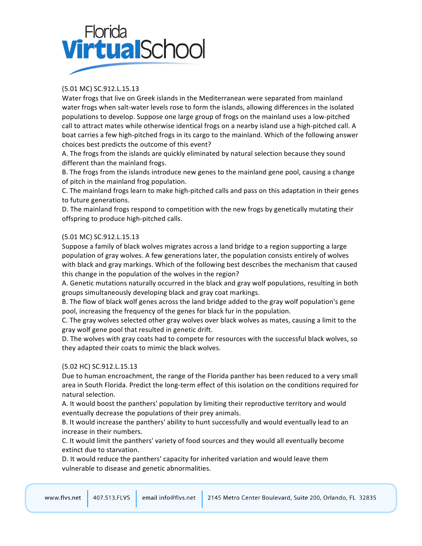# Florida<br>**Virtual**School

# (5.01 MC) SC.912.L.15.13

Water frogs that live on Greek islands in the Mediterranean were separated from mainland water frogs when salt-water levels rose to form the islands, allowing differences in the isolated populations to develop. Suppose one large group of frogs on the mainland uses a low-pitched call to attract mates while otherwise identical frogs on a nearby island use a high-pitched call. A boat carries a few high-pitched frogs in its cargo to the mainland. Which of the following answer choices best predicts the outcome of this event?

A. The frogs from the islands are quickly eliminated by natural selection because they sound different than the mainland frogs.

B. The frogs from the islands introduce new genes to the mainland gene pool, causing a change of pitch in the mainland frog population.

C. The mainland frogs learn to make high-pitched calls and pass on this adaptation in their genes to future generations.

D. The mainland frogs respond to competition with the new frogs by genetically mutating their offspring to produce high-pitched calls.

## (5.01 MC) SC.912.L.15.13

Suppose a family of black wolves migrates across a land bridge to a region supporting a large population of gray wolves. A few generations later, the population consists entirely of wolves with black and gray markings. Which of the following best describes the mechanism that caused this change in the population of the wolves in the region?

A. Genetic mutations naturally occurred in the black and gray wolf populations, resulting in both groups simultaneously developing black and gray coat markings.

B. The flow of black wolf genes across the land bridge added to the gray wolf population's gene pool, increasing the frequency of the genes for black fur in the population.

C. The gray wolves selected other gray wolves over black wolves as mates, causing a limit to the gray wolf gene pool that resulted in genetic drift.

D. The wolves with gray coats had to compete for resources with the successful black wolves, so they adapted their coats to mimic the black wolves.

## (5.02 HC) SC.912.L.15.13

Due to human encroachment, the range of the Florida panther has been reduced to a very small area in South Florida. Predict the long-term effect of this isolation on the conditions required for natural selection.

A. It would boost the panthers' population by limiting their reproductive territory and would eventually decrease the populations of their prey animals.

B. It would increase the panthers' ability to hunt successfully and would eventually lead to an increase in their numbers.

C. It would limit the panthers' variety of food sources and they would all eventually become extinct due to starvation.

D. It would reduce the panthers' capacity for inherited variation and would leave them vulnerable to disease and genetic abnormalities.

|  |  |  | www.flys.net 407.513.FLVS email info@flys.net 2145 Metro Center Boulevard, Suite 200, Orlando, FL 32835 |
|--|--|--|---------------------------------------------------------------------------------------------------------|
|--|--|--|---------------------------------------------------------------------------------------------------------|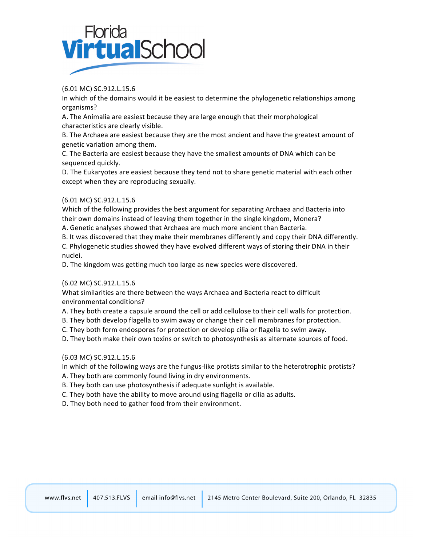

(6.01 MC) SC.912.L.15.6

In which of the domains would it be easiest to determine the phylogenetic relationships among organisms?

A. The Animalia are easiest because they are large enough that their morphological characteristics are clearly visible.

B. The Archaea are easiest because they are the most ancient and have the greatest amount of genetic variation among them.

C. The Bacteria are easiest because they have the smallest amounts of DNA which can be sequenced quickly.

D. The Eukaryotes are easiest because they tend not to share genetic material with each other except when they are reproducing sexually.

## (6.01 MC) SC.912.L.15.6

Which of the following provides the best argument for separating Archaea and Bacteria into their own domains instead of leaving them together in the single kingdom, Monera?

A. Genetic analyses showed that Archaea are much more ancient than Bacteria.

B. It was discovered that they make their membranes differently and copy their DNA differently.

C. Phylogenetic studies showed they have evolved different ways of storing their DNA in their nuclei.

D. The kingdom was getting much too large as new species were discovered.

## (6.02 MC) SC.912.L.15.6

What similarities are there between the ways Archaea and Bacteria react to difficult environmental conditions?

A. They both create a capsule around the cell or add cellulose to their cell walls for protection.

B. They both develop flagella to swim away or change their cell membranes for protection.

C. They both form endospores for protection or develop cilia or flagella to swim away.

D. They both make their own toxins or switch to photosynthesis as alternate sources of food.

## (6.03 MC) SC.912.L.15.6

In which of the following ways are the fungus-like protists similar to the heterotrophic protists?

A. They both are commonly found living in dry environments.

B. They both can use photosynthesis if adequate sunlight is available.

C. They both have the ability to move around using flagella or cilia as adults.

D. They both need to gather food from their environment.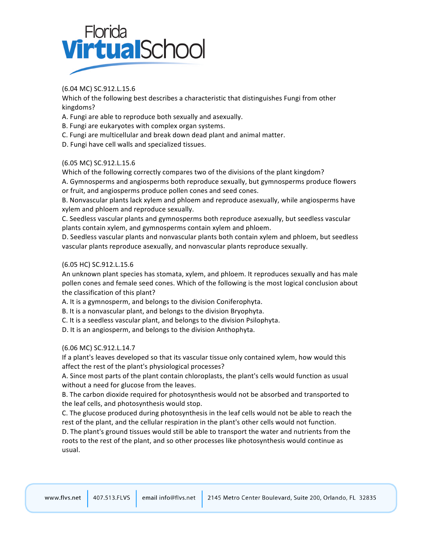

(6.04 MC) SC.912.L.15.6

Which of the following best describes a characteristic that distinguishes Fungi from other kingdoms?

- A. Fungi are able to reproduce both sexually and asexually.
- B. Fungi are eukaryotes with complex organ systems.
- C. Fungi are multicellular and break down dead plant and animal matter.
- D. Fungi have cell walls and specialized tissues.

(6.05 MC) SC.912.L.15.6

Which of the following correctly compares two of the divisions of the plant kingdom?

A. Gymnosperms and angiosperms both reproduce sexually, but gymnosperms produce flowers or fruit, and angiosperms produce pollen cones and seed cones.

B. Nonvascular plants lack xylem and phloem and reproduce asexually, while angiosperms have xylem and phloem and reproduce sexually.

C. Seedless vascular plants and gymnosperms both reproduce asexually, but seedless vascular plants contain xylem, and gymnosperms contain xylem and phloem.

D. Seedless vascular plants and nonvascular plants both contain xylem and phloem, but seedless vascular plants reproduce asexually, and nonvascular plants reproduce sexually.

### (6.05 HC) SC.912.L.15.6

An unknown plant species has stomata, xylem, and phloem. It reproduces sexually and has male pollen cones and female seed cones. Which of the following is the most logical conclusion about the classification of this plant?

A. It is a gymnosperm, and belongs to the division Coniferophyta.

B. It is a nonvascular plant, and belongs to the division Bryophyta.

C. It is a seedless vascular plant, and belongs to the division Psilophyta.

D. It is an angiosperm, and belongs to the division Anthophyta.

(6.06 MC) SC.912.L.14.7

If a plant's leaves developed so that its vascular tissue only contained xylem, how would this affect the rest of the plant's physiological processes?

A. Since most parts of the plant contain chloroplasts, the plant's cells would function as usual without a need for glucose from the leaves.

B. The carbon dioxide required for photosynthesis would not be absorbed and transported to the leaf cells, and photosynthesis would stop.

C. The glucose produced during photosynthesis in the leaf cells would not be able to reach the rest of the plant, and the cellular respiration in the plant's other cells would not function.

D. The plant's ground tissues would still be able to transport the water and nutrients from the roots to the rest of the plant, and so other processes like photosynthesis would continue as usual.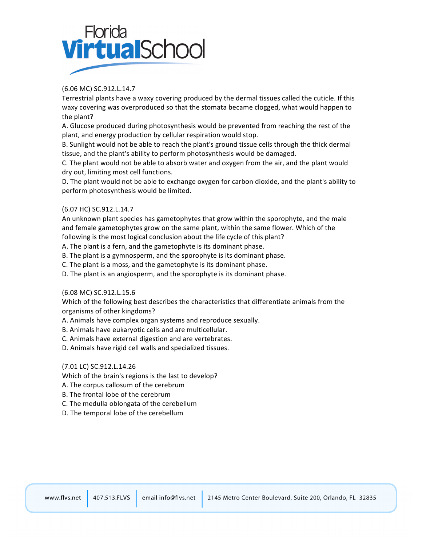

## (6.06 MC) SC.912.L.14.7

Terrestrial plants have a waxy covering produced by the dermal tissues called the cuticle. If this waxy covering was overproduced so that the stomata became clogged, what would happen to the plant?

A. Glucose produced during photosynthesis would be prevented from reaching the rest of the plant, and energy production by cellular respiration would stop.

B. Sunlight would not be able to reach the plant's ground tissue cells through the thick dermal tissue, and the plant's ability to perform photosynthesis would be damaged.

C. The plant would not be able to absorb water and oxygen from the air, and the plant would dry out, limiting most cell functions.

D. The plant would not be able to exchange oxygen for carbon dioxide, and the plant's ability to perform photosynthesis would be limited.

## (6.07 HC) SC.912.L.14.7

An unknown plant species has gametophytes that grow within the sporophyte, and the male and female gametophytes grow on the same plant, within the same flower. Which of the following is the most logical conclusion about the life cycle of this plant?

A. The plant is a fern, and the gametophyte is its dominant phase.

B. The plant is a gymnosperm, and the sporophyte is its dominant phase.

C. The plant is a moss, and the gametophyte is its dominant phase.

D. The plant is an angiosperm, and the sporophyte is its dominant phase.

## (6.08 MC) SC.912.L.15.6

Which of the following best describes the characteristics that differentiate animals from the organisms of other kingdoms?

A. Animals have complex organ systems and reproduce sexually.

B. Animals have eukaryotic cells and are multicellular.

C. Animals have external digestion and are vertebrates.

D. Animals have rigid cell walls and specialized tissues.

## (7.01 LC) SC.912.L.14.26

Which of the brain's regions is the last to develop?

A. The corpus callosum of the cerebrum

B. The frontal lobe of the cerebrum

C. The medulla oblongata of the cerebellum

D. The temporal lobe of the cerebellum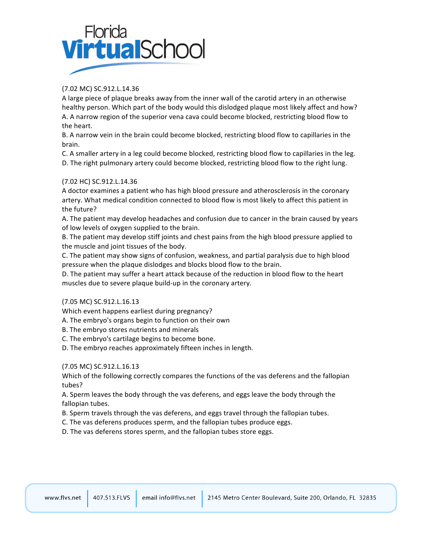# Florida<br>**Virtual**Schoc

# (7.02 MC) SC.912.L.14.36

A large piece of plaque breaks away from the inner wall of the carotid artery in an otherwise healthy person. Which part of the body would this dislodged plaque most likely affect and how? A. A narrow region of the superior vena cava could become blocked, restricting blood flow to the heart.

B. A narrow vein in the brain could become blocked, restricting blood flow to capillaries in the brain.

C. A smaller artery in a leg could become blocked, restricting blood flow to capillaries in the leg. D. The right pulmonary artery could become blocked, restricting blood flow to the right lung.

## (7.02 HC) SC.912.L.14.36

A doctor examines a patient who has high blood pressure and atherosclerosis in the coronary artery. What medical condition connected to blood flow is most likely to affect this patient in the future?

A. The patient may develop headaches and confusion due to cancer in the brain caused by years of low levels of oxygen supplied to the brain.

B. The patient may develop stiff joints and chest pains from the high blood pressure applied to the muscle and joint tissues of the body.

C. The patient may show signs of confusion, weakness, and partial paralysis due to high blood pressure when the plaque dislodges and blocks blood flow to the brain.

D. The patient may suffer a heart attack because of the reduction in blood flow to the heart muscles due to severe plaque build-up in the coronary artery.

(7.05 MC) SC.912.L.16.13

Which event happens earliest during pregnancy?

A. The embryo's organs begin to function on their own

- B. The embryo stores nutrients and minerals
- C. The embryo's cartilage begins to become bone.
- D. The embryo reaches approximately fifteen inches in length.

## (7.05 MC) SC.912.L.16.13

Which of the following correctly compares the functions of the vas deferens and the fallopian tubes?

A. Sperm leaves the body through the vas deferens, and eggs leave the body through the fallopian tubes.

- B. Sperm travels through the vas deferens, and eggs travel through the fallopian tubes.
- C. The vas deferens produces sperm, and the fallopian tubes produce eggs.

D. The vas deferens stores sperm, and the fallopian tubes store eggs.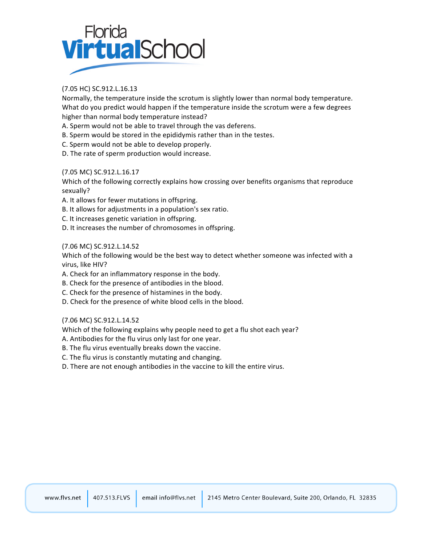

# (7.05 HC) SC.912.L.16.13

Normally, the temperature inside the scrotum is slightly lower than normal body temperature. What do you predict would happen if the temperature inside the scrotum were a few degrees higher than normal body temperature instead?

- A. Sperm would not be able to travel through the vas deferens.
- B. Sperm would be stored in the epididymis rather than in the testes.
- C. Sperm would not be able to develop properly.
- D. The rate of sperm production would increase.

## (7.05 MC) SC.912.L.16.17

Which of the following correctly explains how crossing over benefits organisms that reproduce sexually?

- A. It allows for fewer mutations in offspring.
- B. It allows for adjustments in a population's sex ratio.
- C. It increases genetic variation in offspring.
- D. It increases the number of chromosomes in offspring.

## (7.06 MC) SC.912.L.14.52

Which of the following would be the best way to detect whether someone was infected with a virus, like HIV?

- A. Check for an inflammatory response in the body.
- B. Check for the presence of antibodies in the blood.
- C. Check for the presence of histamines in the body.
- D. Check for the presence of white blood cells in the blood.

## (7.06 MC) SC.912.L.14.52

Which of the following explains why people need to get a flu shot each year?

- A. Antibodies for the flu virus only last for one year.
- B. The flu virus eventually breaks down the vaccine.
- C. The flu virus is constantly mutating and changing.
- D. There are not enough antibodies in the vaccine to kill the entire virus.